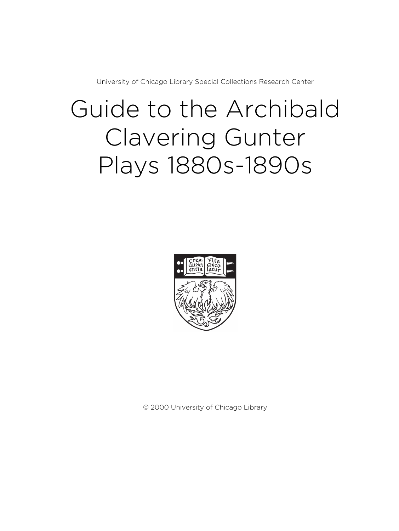University of Chicago Library Special Collections Research Center

# Guide to the Archibald Clavering Gunter Plays 1880s-1890s



© 2000 University of Chicago Library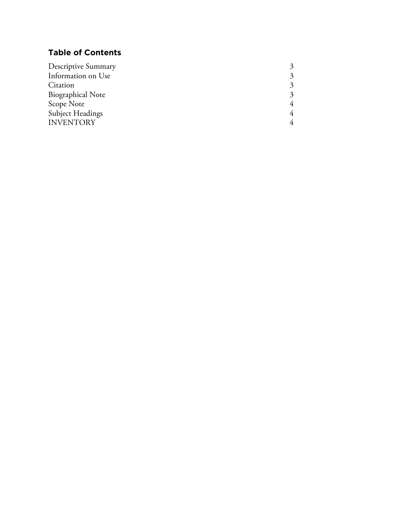# **Table of Contents**

| Descriptive Summary      |  |
|--------------------------|--|
| Information on Use       |  |
| Citation                 |  |
| <b>Biographical Note</b> |  |
| Scope Note               |  |
| <b>Subject Headings</b>  |  |
| <b>INVENTORY</b>         |  |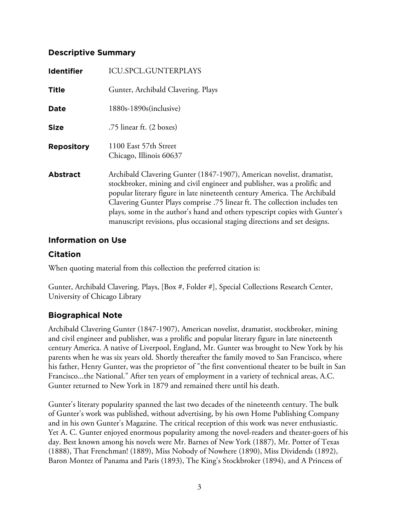## **Descriptive Summary**

| <b>Identifier</b> | ICU.SPCL.GUNTERPLAYS                                                                                                                                                                                                                                                                                                                                                                                                                                                     |
|-------------------|--------------------------------------------------------------------------------------------------------------------------------------------------------------------------------------------------------------------------------------------------------------------------------------------------------------------------------------------------------------------------------------------------------------------------------------------------------------------------|
| Title             | Gunter, Archibald Clavering. Plays                                                                                                                                                                                                                                                                                                                                                                                                                                       |
| Date              | 1880s-1890s(inclusive)                                                                                                                                                                                                                                                                                                                                                                                                                                                   |
| <b>Size</b>       | .75 linear ft. (2 boxes)                                                                                                                                                                                                                                                                                                                                                                                                                                                 |
| <b>Repository</b> | 1100 East 57th Street<br>Chicago, Illinois 60637                                                                                                                                                                                                                                                                                                                                                                                                                         |
| <b>Abstract</b>   | Archibald Clavering Gunter (1847-1907), American novelist, dramatist,<br>stockbroker, mining and civil engineer and publisher, was a prolific and<br>popular literary figure in late nineteenth century America. The Archibald<br>Clavering Gunter Plays comprise .75 linear ft. The collection includes ten<br>plays, some in the author's hand and others typescript copies with Gunter's<br>manuscript revisions, plus occasional staging directions and set designs. |

## **Information on Use**

## **Citation**

When quoting material from this collection the preferred citation is:

Gunter, Archibald Clavering. Plays, [Box #, Folder #], Special Collections Research Center, University of Chicago Library

# **Biographical Note**

Archibald Clavering Gunter (1847-1907), American novelist, dramatist, stockbroker, mining and civil engineer and publisher, was a prolific and popular literary figure in late nineteenth century America. A native of Liverpool, England, Mr. Gunter was brought to New York by his parents when he was six years old. Shortly thereafter the family moved to San Francisco, where his father, Henry Gunter, was the proprietor of "the first conventional theater to be built in San Francisco...the National." After ten years of employment in a variety of technical areas, A.C. Gunter returned to New York in 1879 and remained there until his death.

Gunter's literary popularity spanned the last two decades of the nineteenth century. The bulk of Gunter's work was published, without advertising, by his own Home Publishing Company and in his own Gunter's Magazine. The critical reception of this work was never enthusiastic. Yet A. C. Gunter enjoyed enormous popularity among the novel-readers and theater-goers of his day. Best known among his novels were Mr. Barnes of New York (1887), Mr. Potter of Texas (1888), That Frenchman! (1889), Miss Nobody of Nowhere (1890), Miss Dividends (1892), Baron Montez of Panama and Paris (1893), The King's Stockbroker (1894), and A Princess of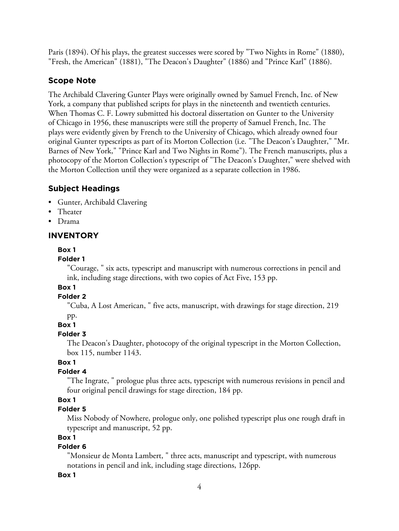Paris (1894). Of his plays, the greatest successes were scored by "Two Nights in Rome" (1880), "Fresh, the American" (1881), "The Deacon's Daughter" (1886) and "Prince Karl" (1886).

## **Scope Note**

The Archibald Clavering Gunter Plays were originally owned by Samuel French, Inc. of New York, a company that published scripts for plays in the nineteenth and twentieth centuries. When Thomas C. F. Lowry submitted his doctoral dissertation on Gunter to the University of Chicago in 1956, these manuscripts were still the property of Samuel French, Inc. The plays were evidently given by French to the University of Chicago, which already owned four original Gunter typescripts as part of its Morton Collection (i.e. "The Deacon's Daughter," "Mr. Barnes of New York," "Prince Karl and Two Nights in Rome"). The French manuscripts, plus a photocopy of the Morton Collection's typescript of "The Deacon's Daughter," were shelved with the Morton Collection until they were organized as a separate collection in 1986.

## **Subject Headings**

- Gunter, Archibald Clavering
- Theater
- Drama

## **INVENTORY**

#### **Box 1**

#### **Folder 1**

"Courage, " six acts, typescript and manuscript with numerous corrections in pencil and ink, including stage directions, with two copies of Act Five, 153 pp.

## **Box 1**

## **Folder 2**

"Cuba, A Lost American, " five acts, manuscript, with drawings for stage direction, 219 pp.

#### **Box 1**

## **Folder 3**

The Deacon's Daughter, photocopy of the original typescript in the Morton Collection, box 115, number 1143.

## **Box 1**

## **Folder 4**

"The Ingrate, " prologue plus three acts, typescript with numerous revisions in pencil and four original pencil drawings for stage direction, 184 pp.

## **Box 1**

## **Folder 5**

Miss Nobody of Nowhere, prologue only, one polished typescript plus one rough draft in typescript and manuscript, 52 pp.

## **Box 1**

## **Folder 6**

"Monsieur de Monta Lambert, " three acts, manuscript and typescript, with numerous notations in pencil and ink, including stage directions, 126pp.

## **Box 1**